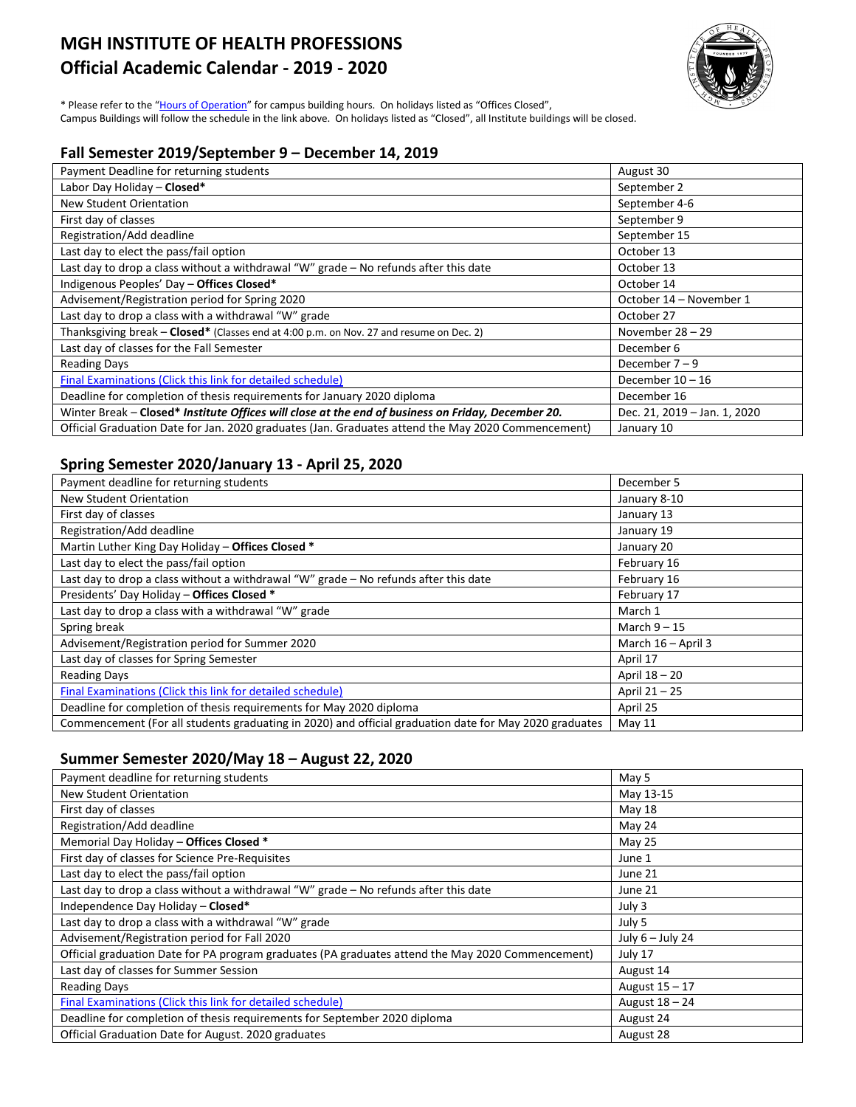# **MGH INSTITUTE OF HEALTH PROFESSIONS Official Academic Calendar - 2019 - 2020**



\* Please refer to the ["Hours of Operation"](http://www.mghihp.edu/about-us/offices-and-services/facilities/hours.aspx) for campus building hours. On holidays listed as "Offices Closed", Campus Buildings will follow the schedule in the link above. On holidays listed as "Closed", all Institute buildings will be closed.

## **Fall Semester 2019/September 9 – December 14, 2019**

| Payment Deadline for returning students                                                            | August 30                    |
|----------------------------------------------------------------------------------------------------|------------------------------|
| Labor Day Holiday - Closed*                                                                        | September 2                  |
| New Student Orientation                                                                            | September 4-6                |
| First day of classes                                                                               | September 9                  |
| Registration/Add deadline                                                                          | September 15                 |
| Last day to elect the pass/fail option                                                             | October 13                   |
| Last day to drop a class without a withdrawal "W" grade - No refunds after this date               | October 13                   |
| Indigenous Peoples' Day - Offices Closed*                                                          | October 14                   |
| Advisement/Registration period for Spring 2020                                                     | October 14 - November 1      |
| Last day to drop a class with a withdrawal "W" grade                                               | October 27                   |
| Thanksgiving break - Closed* (Classes end at 4:00 p.m. on Nov. 27 and resume on Dec. 2)            | November $28 - 29$           |
| Last day of classes for the Fall Semester                                                          | December 6                   |
| <b>Reading Days</b>                                                                                | December $7 - 9$             |
| Final Examinations (Click this link for detailed schedule)                                         | December $10 - 16$           |
| Deadline for completion of thesis requirements for January 2020 diploma                            | December 16                  |
| Winter Break - Closed* Institute Offices will close at the end of business on Friday, December 20. | Dec. 21, 2019 - Jan. 1, 2020 |
| Official Graduation Date for Jan. 2020 graduates (Jan. Graduates attend the May 2020 Commencement) | January 10                   |

# **Spring Semester 2020/January 13 - April 25, 2020**

| Payment deadline for returning students                                                                | December 5           |
|--------------------------------------------------------------------------------------------------------|----------------------|
| <b>New Student Orientation</b>                                                                         | January 8-10         |
| First day of classes                                                                                   | January 13           |
| Registration/Add deadline                                                                              | January 19           |
| Martin Luther King Day Holiday - Offices Closed *                                                      | January 20           |
| Last day to elect the pass/fail option                                                                 | February 16          |
| Last day to drop a class without a withdrawal "W" grade - No refunds after this date                   | February 16          |
| Presidents' Day Holiday - Offices Closed *                                                             | February 17          |
| Last day to drop a class with a withdrawal "W" grade                                                   | March 1              |
| Spring break                                                                                           | March $9 - 15$       |
| Advisement/Registration period for Summer 2020                                                         | March $16 -$ April 3 |
| Last day of classes for Spring Semester                                                                | April 17             |
| <b>Reading Days</b>                                                                                    | April 18 - 20        |
| Final Examinations (Click this link for detailed schedule)                                             | April 21 - 25        |
| Deadline for completion of thesis requirements for May 2020 diploma                                    | April 25             |
| Commencement (For all students graduating in 2020) and official graduation date for May 2020 graduates | May 11               |

#### **Summer Semester 2020/May 18 – August 22, 2020**

| Payment deadline for returning students                                                           | May 5              |
|---------------------------------------------------------------------------------------------------|--------------------|
| <b>New Student Orientation</b>                                                                    | May 13-15          |
| First day of classes                                                                              | May 18             |
| Registration/Add deadline                                                                         | May 24             |
| Memorial Day Holiday - Offices Closed *                                                           | May 25             |
| First day of classes for Science Pre-Requisites                                                   | June 1             |
| Last day to elect the pass/fail option                                                            | June 21            |
| Last day to drop a class without a withdrawal "W" grade - No refunds after this date              | June 21            |
| Independence Day Holiday - Closed*                                                                | July 3             |
| Last day to drop a class with a withdrawal "W" grade                                              | July 5             |
| Advisement/Registration period for Fall 2020                                                      | July $6 -$ July 24 |
| Official graduation Date for PA program graduates (PA graduates attend the May 2020 Commencement) | July 17            |
| Last day of classes for Summer Session                                                            | August 14          |
| <b>Reading Days</b>                                                                               | August 15 - 17     |
| Final Examinations (Click this link for detailed schedule)                                        | August 18 - 24     |
| Deadline for completion of thesis requirements for September 2020 diploma                         | August 24          |
| Official Graduation Date for August. 2020 graduates                                               | August 28          |